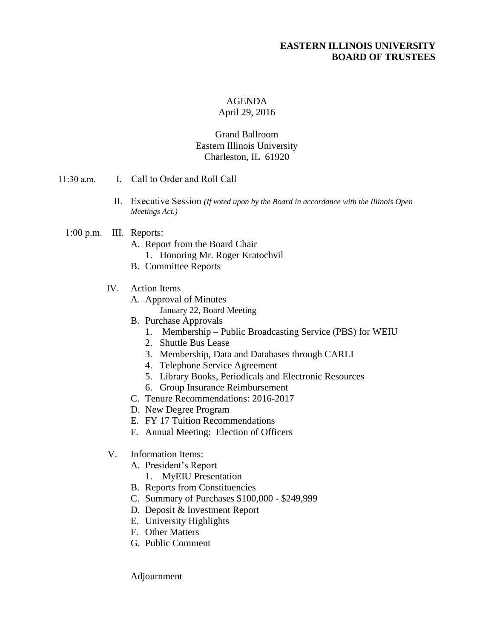## **EASTERN ILLINOIS UNIVERSITY BOARD OF TRUSTEES**

## AGENDA

#### April 29, 2016

### Grand Ballroom Eastern Illinois University Charleston, IL 61920

- 11:30 a.m. I. Call to Order and Roll Call
	- II. Executive Session *(If voted upon by the Board in accordance with the Illinois Open Meetings Act.)*
	- 1:00 p.m. III. Reports:
		- A. Report from the Board Chair
			- 1. Honoring Mr. Roger Kratochvil
		- B. Committee Reports
		- IV. Action Items
			- A. Approval of Minutes January 22, Board Meeting
			- B. Purchase Approvals
				- 1. Membership Public Broadcasting Service (PBS) for WEIU
				- 2. Shuttle Bus Lease
				- 3. Membership, Data and Databases through CARLI
				- 4. Telephone Service Agreement
				- 5. Library Books, Periodicals and Electronic Resources
				- 6. Group Insurance Reimbursement
			- C. Tenure Recommendations: 2016-2017
			- D. New Degree Program
			- E. FY 17 Tuition Recommendations
			- F. Annual Meeting: Election of Officers
		- V. Information Items:
			- A. President's Report
				- 1. MyEIU Presentation
			- B. Reports from Constituencies
			- C. Summary of Purchases \$100,000 \$249,999
			- D. Deposit & Investment Report
			- E. University Highlights
			- F. Other Matters
			- G. Public Comment

Adjournment